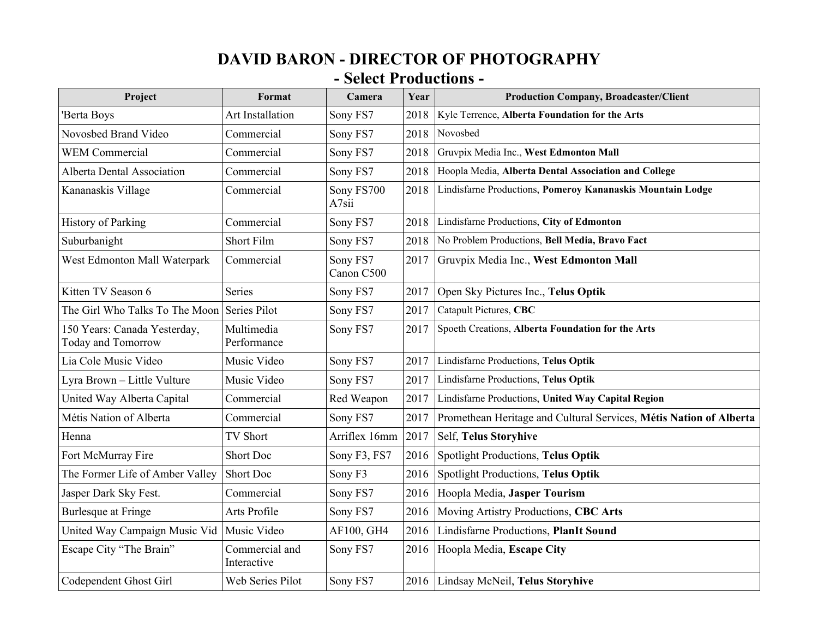## **DAVID BARON - DIRECTOR OF PHOTOGRAPHY - Select Productions -**

| Project                                            | Format                        | Camera                 | Year | <b>Production Company, Broadcaster/Client</b>                      |
|----------------------------------------------------|-------------------------------|------------------------|------|--------------------------------------------------------------------|
| 'Berta Boys                                        | <b>Art Installation</b>       | Sony FS7               | 2018 | Kyle Terrence, Alberta Foundation for the Arts                     |
| Novosbed Brand Video                               | Commercial                    | Sony FS7               | 2018 | Novosbed                                                           |
| <b>WEM Commercial</b>                              | Commercial                    | Sony FS7               | 2018 | Gruvpix Media Inc., West Edmonton Mall                             |
| <b>Alberta Dental Association</b>                  | Commercial                    | Sony FS7               | 2018 | Hoopla Media, Alberta Dental Association and College               |
| Kananaskis Village                                 | Commercial                    | Sony FS700<br>A7sii    | 2018 | Lindisfarne Productions, Pomeroy Kananaskis Mountain Lodge         |
| <b>History of Parking</b>                          | Commercial                    | Sony FS7               | 2018 | Lindisfarne Productions, City of Edmonton                          |
| Suburbanight                                       | Short Film                    | Sony FS7               | 2018 | No Problem Productions, Bell Media, Bravo Fact                     |
| West Edmonton Mall Waterpark                       | Commercial                    | Sony FS7<br>Canon C500 | 2017 | Gruvpix Media Inc., West Edmonton Mall                             |
| Kitten TV Season 6                                 | Series                        | Sony FS7               | 2017 | Open Sky Pictures Inc., Telus Optik                                |
| The Girl Who Talks To The Moon                     | Series Pilot                  | Sony FS7               | 2017 | Catapult Pictures, CBC                                             |
| 150 Years: Canada Yesterday,<br>Today and Tomorrow | Multimedia<br>Performance     | Sony FS7               | 2017 | Spoeth Creations, Alberta Foundation for the Arts                  |
| Lia Cole Music Video                               | Music Video                   | Sony FS7               | 2017 | Lindisfarne Productions, Telus Optik                               |
| Lyra Brown - Little Vulture                        | Music Video                   | Sony FS7               | 2017 | Lindisfarne Productions, Telus Optik                               |
| United Way Alberta Capital                         | Commercial                    | Red Weapon             | 2017 | Lindisfarne Productions, United Way Capital Region                 |
| Métis Nation of Alberta                            | Commercial                    | Sony FS7               | 2017 | Promethean Heritage and Cultural Services, Métis Nation of Alberta |
| Henna                                              | <b>TV Short</b>               | Arriflex 16mm          | 2017 | <b>Self, Telus Storyhive</b>                                       |
| Fort McMurray Fire                                 | <b>Short Doc</b>              | Sony F3, FS7           | 2016 | <b>Spotlight Productions, Telus Optik</b>                          |
| The Former Life of Amber Valley                    | Short Doc                     | Sony <sub>F3</sub>     | 2016 | <b>Spotlight Productions, Telus Optik</b>                          |
| Jasper Dark Sky Fest.                              | Commercial                    | Sony FS7               | 2016 | Hoopla Media, Jasper Tourism                                       |
| <b>Burlesque at Fringe</b>                         | Arts Profile                  | Sony FS7               | 2016 | Moving Artistry Productions, CBC Arts                              |
| United Way Campaign Music Vid                      | Music Video                   | AF100, GH4             | 2016 | Lindisfarne Productions, PlanIt Sound                              |
| Escape City "The Brain"                            | Commercial and<br>Interactive | Sony FS7               | 2016 | Hoopla Media, Escape City                                          |
| Codependent Ghost Girl                             | Web Series Pilot              | Sony FS7               | 2016 | Lindsay McNeil, Telus Storyhive                                    |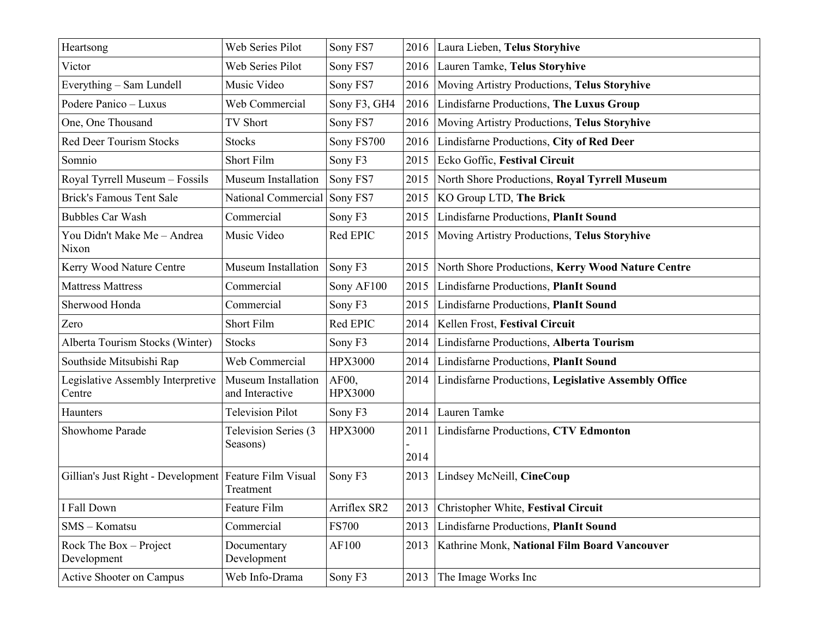| Heartsong                                                | Web Series Pilot                              | Sony FS7                | 2016         | Laura Lieben, Telus Storyhive                        |  |
|----------------------------------------------------------|-----------------------------------------------|-------------------------|--------------|------------------------------------------------------|--|
| Victor                                                   | Web Series Pilot                              | Sony FS7                | 2016         | Lauren Tamke, Telus Storyhive                        |  |
| Everything - Sam Lundell                                 | Music Video                                   | Sony FS7                | 2016         | Moving Artistry Productions, Telus Storyhive         |  |
| Podere Panico - Luxus                                    | Web Commercial                                | Sony F3, GH4            | 2016         | Lindisfarne Productions, The Luxus Group             |  |
| One, One Thousand                                        | TV Short                                      | Sony FS7                | 2016         | Moving Artistry Productions, Telus Storyhive         |  |
| <b>Red Deer Tourism Stocks</b>                           | <b>Stocks</b>                                 | Sony FS700              | 2016         | Lindisfarne Productions, City of Red Deer            |  |
| Somnio                                                   | Short Film                                    | Sony F3                 | 2015         | Ecko Goffic, Festival Circuit                        |  |
| Royal Tyrrell Museum - Fossils                           | Museum Installation                           | Sony FS7                | 2015         | North Shore Productions, Royal Tyrrell Museum        |  |
| <b>Brick's Famous Tent Sale</b>                          | National Commercial                           | Sony FS7                | 2015         | KO Group LTD, The Brick                              |  |
| <b>Bubbles Car Wash</b>                                  | Commercial                                    | Sony F3                 | 2015         | Lindisfarne Productions, PlanIt Sound                |  |
| You Didn't Make Me - Andrea<br>Nixon                     | Music Video                                   | Red EPIC                | 2015         | Moving Artistry Productions, Telus Storyhive         |  |
| Kerry Wood Nature Centre                                 | Museum Installation                           | Sony F3                 | 2015         | North Shore Productions, Kerry Wood Nature Centre    |  |
| <b>Mattress Mattress</b>                                 | Commercial                                    | Sony AF100              | 2015         | Lindisfarne Productions, PlanIt Sound                |  |
| Sherwood Honda                                           | Commercial                                    | Sony F3                 | 2015         | Lindisfarne Productions, PlanIt Sound                |  |
| Zero                                                     | Short Film                                    | Red EPIC                | 2014         | Kellen Frost, Festival Circuit                       |  |
| Alberta Tourism Stocks (Winter)                          | Stocks                                        | Sony <sub>F3</sub>      | 2014         | Lindisfarne Productions, Alberta Tourism             |  |
| Southside Mitsubishi Rap                                 | Web Commercial                                | <b>HPX3000</b>          | 2014         | Lindisfarne Productions, PlanIt Sound                |  |
| Legislative Assembly Interpretive<br>Centre              | <b>Museum Installation</b><br>and Interactive | AF00,<br><b>HPX3000</b> | 2014         | Lindisfarne Productions, Legislative Assembly Office |  |
| Haunters                                                 | <b>Television Pilot</b>                       | Sony F3                 | 2014         | Lauren Tamke                                         |  |
| Showhome Parade                                          | Television Series (3<br>Seasons)              | <b>HPX3000</b>          | 2011<br>2014 | Lindisfarne Productions, CTV Edmonton                |  |
| Gillian's Just Right - Development   Feature Film Visual | Treatment                                     | Sony <sub>F3</sub>      | 2013         | Lindsey McNeill, CineCoup                            |  |
| I Fall Down                                              | Feature Film                                  | Arriflex SR2            | 2013         | Christopher White, Festival Circuit                  |  |
| SMS - Komatsu                                            | Commercial                                    | <b>FS700</b>            | 2013         | Lindisfarne Productions, PlanIt Sound                |  |
| Rock The Box - Project<br>Development                    | Documentary<br>Development                    | AF100                   | 2013         | Kathrine Monk, National Film Board Vancouver         |  |
| <b>Active Shooter on Campus</b>                          | Web Info-Drama                                | Sony F3                 | 2013         | The Image Works Inc                                  |  |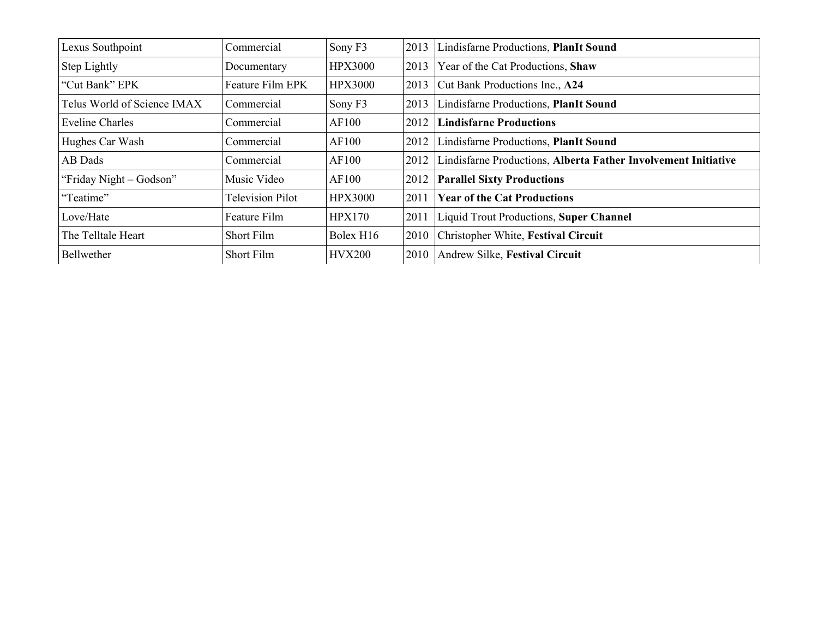| Lexus Southpoint            | Commercial              | Sony F3        | 2013 | Lindisfarne Productions, PlanIt Sound                          |
|-----------------------------|-------------------------|----------------|------|----------------------------------------------------------------|
| Step Lightly                | Documentary             | <b>HPX3000</b> | 2013 | Year of the Cat Productions, Shaw                              |
| "Cut Bank" EPK              | Feature Film EPK        | <b>HPX3000</b> | 2013 | Cut Bank Productions Inc., A24                                 |
| Telus World of Science IMAX | Commercial              | Sony F3        | 2013 | Lindisfarne Productions, PlanIt Sound                          |
| <b>Eveline Charles</b>      | Commercial              | AF100          | 2012 | <b>Lindisfarne Productions</b>                                 |
| Hughes Car Wash             | Commercial              | AF100          | 2012 | Lindisfarne Productions, PlanIt Sound                          |
| AB Dads                     | Commercial              | AF100          | 2012 | Lindisfarne Productions, Alberta Father Involvement Initiative |
| "Friday Night - Godson"     | Music Video             | AF100          | 2012 | <b>Parallel Sixty Productions</b>                              |
| "Teatime"                   | <b>Television Pilot</b> | <b>HPX3000</b> | 2011 | <b>Year of the Cat Productions</b>                             |
| Love/Hate                   | Feature Film            | <b>HPX170</b>  | 2011 | Liquid Trout Productions, Super Channel                        |
| The Telltale Heart          | Short Film              | Bolex H16      | 2010 | Christopher White, Festival Circuit                            |
| Bellwether                  | Short Film              | <b>HVX200</b>  | 2010 | Andrew Silke, Festival Circuit                                 |